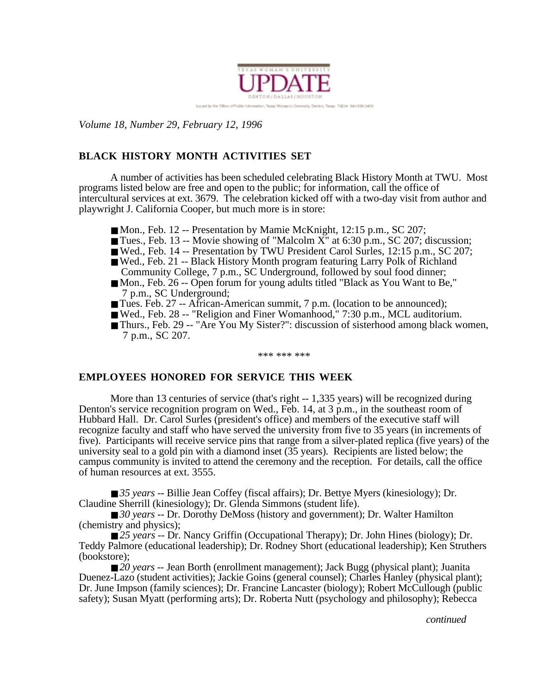

luxured by the Office of Public on Woman's University, Der they Titres 76204 940-898-3458

*Volume 18, Number 29, February 12, 1996*

# **BLACK HISTORY MONTH ACTIVITIES SET**

A number of activities has been scheduled celebrating Black History Month at TWU. Most programs listed below are free and open to the public; for information, call the office of intercultural services at ext. 3679. The celebration kicked off with a two-day visit from author and playwright J. California Cooper, but much more is in store:

- Mon., Feb. 12 -- Presentation by Mamie McKnight, 12:15 p.m., SC 207;
- Tues., Feb. 13 -- Movie showing of "Malcolm  $X$ " at 6:30 p.m., SC 207; discussion;
- Wed., Feb. 14 -- Presentation by TWU President Carol Surles, 12:15 p.m., SC 207;
- Wed., Feb. 21 -- Black History Month program featuring Larry Polk of Richland Community College, 7 p.m., SC Underground, followed by soul food dinner;
- Mon., Feb. 26 -- Open forum for young adults titled "Black as You Want to Be," 7 p.m., SC Underground;
- Tues. Feb. 27 -- African-American summit, 7 p.m. (location to be announced);
- Wed., Feb. 28 -- "Religion and Finer Womanhood," 7:30 p.m., MCL auditorium.
- Thurs., Feb. 29 -- "Are You My Sister?": discussion of sisterhood among black women, 7 p.m., SC 207.

\*\*\* \*\*\* \*\*\*

## **EMPLOYEES HONORED FOR SERVICE THIS WEEK**

More than 13 centuries of service (that's right -- 1,335 years) will be recognized during Denton's service recognition program on Wed., Feb. 14, at 3 p.m., in the southeast room of Hubbard Hall. Dr. Carol Surles (president's office) and members of the executive staff will recognize faculty and staff who have served the university from five to 35 years (in increments of five). Participants will receive service pins that range from a silver-plated replica (five years) of the university seal to a gold pin with a diamond inset (35 years). Recipients are listed below; the campus community is invited to attend the ceremony and the reception. For details, call the office of human resources at ext. 3555.

■ *35 years* -- Billie Jean Coffey (fiscal affairs); Dr. Bettye Myers (kinesiology); Dr. Claudine Sherrill (kinesiology); Dr. Glenda Simmons (student life).

■ *30 years* -- Dr. Dorothy DeMoss (history and government); Dr. Walter Hamilton (chemistry and physics);

■ *25 years* -- Dr. Nancy Griffin (Occupational Therapy); Dr. John Hines (biology); Dr. Teddy Palmore (educational leadership); Dr. Rodney Short (educational leadership); Ken Struthers (bookstore);

■ *20 years* -- Jean Borth (enrollment management); Jack Bugg (physical plant); Juanita Duenez-Lazo (student activities); Jackie Goins (general counsel); Charles Hanley (physical plant); Dr. June Impson (family sciences); Dr. Francine Lancaster (biology); Robert McCullough (public safety); Susan Myatt (performing arts); Dr. Roberta Nutt (psychology and philosophy); Rebecca

*continued*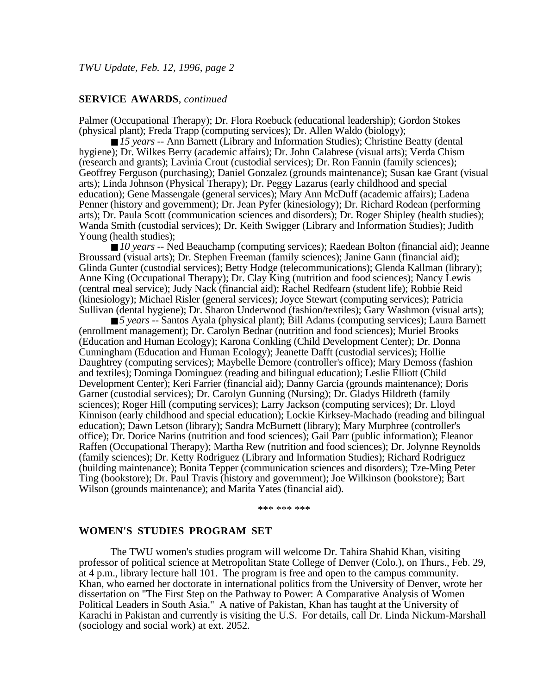#### **SERVICE AWARDS**, *continued*

Palmer (Occupational Therapy); Dr. Flora Roebuck (educational leadership); Gordon Stokes (physical plant); Freda Trapp (computing services); Dr. Allen Waldo (biology);

■ 15 years -- Ann Barnett (Library and Information Studies); Christine Beatty (dental hygiene); Dr. Wilkes Berry (academic affairs); Dr. John Calabrese (visual arts); Verda Chism (research and grants); Lavinia Crout (custodial services); Dr. Ron Fannin (family sciences); Geoffrey Ferguson (purchasing); Daniel Gonzalez (grounds maintenance); Susan kae Grant (visual arts); Linda Johnson (Physical Therapy); Dr. Peggy Lazarus (early childhood and special education); Gene Massengale (general services); Mary Ann McDuff (academic affairs); Ladena Penner (history and government); Dr. Jean Pyfer (kinesiology); Dr. Richard Rodean (performing arts); Dr. Paula Scott (communication sciences and disorders); Dr. Roger Shipley (health studies); Wanda Smith (custodial services); Dr. Keith Swigger (Library and Information Studies); Judith Young (health studies);

■ *10 years* -- Ned Beauchamp (computing services); Raedean Bolton (financial aid); Jeanne Broussard (visual arts); Dr. Stephen Freeman (family sciences); Janine Gann (financial aid); Glinda Gunter (custodial services); Betty Hodge (telecommunications); Glenda Kallman (library); Anne King (Occupational Therapy); Dr. Clay King (nutrition and food sciences); Nancy Lewis (central meal service); Judy Nack (financial aid); Rachel Redfearn (student life); Robbie Reid (kinesiology); Michael Risler (general services); Joyce Stewart (computing services); Patricia Sullivan (dental hygiene); Dr. Sharon Underwood (fashion/textiles); Gary Washmon (visual arts);

■ *5 years* -- Santos Ayala (physical plant); Bill Adams (computing services); Laura Barnett (enrollment management); Dr. Carolyn Bednar (nutrition and food sciences); Muriel Brooks (Education and Human Ecology); Karona Conkling (Child Development Center); Dr. Donna Cunningham (Education and Human Ecology); Jeanette Dafft (custodial services); Hollie Daughtrey (computing services); Maybelle Demore (controller's office); Mary Demoss (fashion and textiles); Dominga Dominguez (reading and bilingual education); Leslie Elliott (Child Development Center); Keri Farrier (financial aid); Danny Garcia (grounds maintenance); Doris Garner (custodial services); Dr. Carolyn Gunning (Nursing); Dr. Gladys Hildreth (family sciences); Roger Hill (computing services); Larry Jackson (computing services); Dr. Lloyd Kinnison (early childhood and special education); Lockie Kirksey-Machado (reading and bilingual education); Dawn Letson (library); Sandra McBurnett (library); Mary Murphree (controller's office); Dr. Dorice Narins (nutrition and food sciences); Gail Parr (public information); Eleanor Raffen (Occupational Therapy); Martha Rew (nutrition and food sciences); Dr. Jolynne Reynolds (family sciences); Dr. Ketty Rodriguez (Library and Information Studies); Richard Rodriguez (building maintenance); Bonita Tepper (communication sciences and disorders); Tze-Ming Peter Ting (bookstore); Dr. Paul Travis (history and government); Joe Wilkinson (bookstore); Bart Wilson (grounds maintenance); and Marita Yates (financial aid).

\*\*\* \*\*\* \*\*\*

#### **WOMEN'S STUDIES PROGRAM SET**

The TWU women's studies program will welcome Dr. Tahira Shahid Khan, visiting professor of political science at Metropolitan State College of Denver (Colo.), on Thurs., Feb. 29, at 4 p.m., library lecture hall 101. The program is free and open to the campus community. Khan, who earned her doctorate in international politics from the University of Denver, wrote her dissertation on "The First Step on the Pathway to Power: A Comparative Analysis of Women Political Leaders in South Asia." A native of Pakistan, Khan has taught at the University of Karachi in Pakistan and currently is visiting the U.S. For details, call Dr. Linda Nickum-Marshall (sociology and social work) at ext. 2052.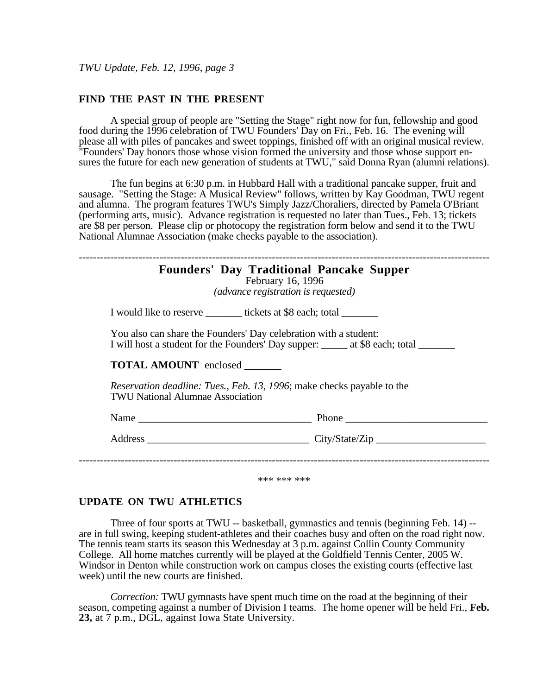#### **FIND THE PAST IN THE PRESENT**

A special group of people are "Setting the Stage" right now for fun, fellowship and good food during the 1996 celebration of TWU Founders' Day on Fri., Feb. 16. The evening will please all with piles of pancakes and sweet toppings, finished off with an original musical review. "Founders' Day honors those whose vision formed the university and those whose support ensures the future for each new generation of students at TWU," said Donna Ryan (alumni relations).

The fun begins at 6:30 p.m. in Hubbard Hall with a traditional pancake supper, fruit and sausage. "Setting the Stage: A Musical Review" follows, written by Kay Goodman, TWU regent and alumna. The program features TWU's Simply Jazz/Choraliers, directed by Pamela O'Briant (performing arts, music). Advance registration is requested no later than Tues., Feb. 13; tickets are \$8 per person. Please clip or photocopy the registration form below and send it to the TWU National Alumnae Association (make checks payable to the association).

|                                         | February 16, 1996<br>(advance registration is requested)                                                                                                  |
|-----------------------------------------|-----------------------------------------------------------------------------------------------------------------------------------------------------------|
|                                         | I would like to reserve _________ tickets at \$8 each; total ________                                                                                     |
|                                         | You also can share the Founders' Day celebration with a student:<br>I will host a student for the Founders' Day supper: ______ at \$8 each; total _______ |
| <b>TOTAL AMOUNT</b> enclosed            |                                                                                                                                                           |
| <b>TWU National Alumnae Association</b> | <i>Reservation deadline: Tues., Feb. 13, 1996; make checks payable to the</i>                                                                             |
|                                         |                                                                                                                                                           |
|                                         |                                                                                                                                                           |

## **UPDATE ON TWU ATHLETICS**

Three of four sports at TWU -- basketball, gymnastics and tennis (beginning Feb. 14) - are in full swing, keeping student-athletes and their coaches busy and often on the road right now. The tennis team starts its season this Wednesday at 3 p.m. against Collin County Community College. All home matches currently will be played at the Goldfield Tennis Center, 2005 W. Windsor in Denton while construction work on campus closes the existing courts (effective last week) until the new courts are finished.

*Correction:* TWU gymnasts have spent much time on the road at the beginning of their season, competing against a number of Division I teams. The home opener will be held Fri., **Feb. 23,** at 7 p.m., DGL, against Iowa State University.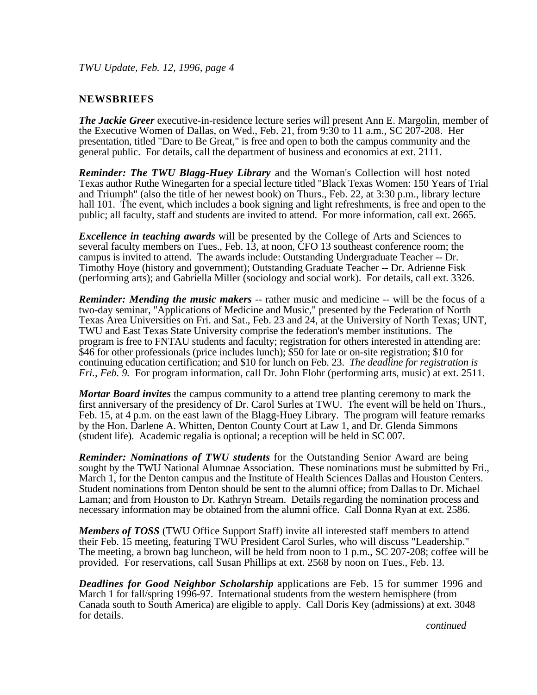## **NEWSBRIEFS**

*The Jackie Greer* executive-in-residence lecture series will present Ann E. Margolin, member of the Executive Women of Dallas, on Wed., Feb. 21, from 9:30 to 11 a.m., SC 207-208. Her presentation, titled "Dare to Be Great," is free and open to both the campus community and the general public. For details, call the department of business and economics at ext. 2111.

*Reminder: The TWU Blagg-Huey Library* and the Woman's Collection will host noted Texas author Ruthe Winegarten for a special lecture titled "Black Texas Women: 150 Years of Trial and Triumph" (also the title of her newest book) on Thurs., Feb. 22, at 3:30 p.m., library lecture hall 101. The event, which includes a book signing and light refreshments, is free and open to the public; all faculty, staff and students are invited to attend. For more information, call ext. 2665.

*Excellence in teaching awards* will be presented by the College of Arts and Sciences to several faculty members on Tues., Feb. 13, at noon, CFO 13 southeast conference room; the campus is invited to attend. The awards include: Outstanding Undergraduate Teacher -- Dr. Timothy Hoye (history and government); Outstanding Graduate Teacher -- Dr. Adrienne Fisk (performing arts); and Gabriella Miller (sociology and social work). For details, call ext. 3326.

*Reminder: Mending the music makers* -- rather music and medicine -- will be the focus of a two-day seminar, "Applications of Medicine and Music," presented by the Federation of North Texas Area Universities on Fri. and Sat., Feb. 23 and 24, at the University of North Texas; UNT, TWU and East Texas State University comprise the federation's member institutions. The program is free to FNTAU students and faculty; registration for others interested in attending are: \$46 for other professionals (price includes lunch); \$50 for late or on-site registration; \$10 for continuing education certification; and \$10 for lunch on Feb. 23. *The deadline for registration is Fri., Feb. 9.* For program information, call Dr. John Flohr (performing arts, music) at ext. 2511.

*Mortar Board invites* the campus community to a attend tree planting ceremony to mark the first anniversary of the presidency of Dr. Carol Surles at TWU. The event will be held on Thurs., Feb. 15, at 4 p.m. on the east lawn of the Blagg-Huey Library. The program will feature remarks by the Hon. Darlene A. Whitten, Denton County Court at Law 1, and Dr. Glenda Simmons (student life). Academic regalia is optional; a reception will be held in SC 007.

*Reminder: Nominations of TWU students* for the Outstanding Senior Award are being sought by the TWU National Alumnae Association. These nominations must be submitted by Fri., March 1, for the Denton campus and the Institute of Health Sciences Dallas and Houston Centers. Student nominations from Denton should be sent to the alumni office; from Dallas to Dr. Michael Laman; and from Houston to Dr. Kathryn Stream. Details regarding the nomination process and necessary information may be obtained from the alumni office. Call Donna Ryan at ext. 2586.

*Members of TOSS* (TWU Office Support Staff) invite all interested staff members to attend their Feb. 15 meeting, featuring TWU President Carol Surles, who will discuss "Leadership." The meeting, a brown bag luncheon, will be held from noon to 1 p.m., SC 207-208; coffee will be provided. For reservations, call Susan Phillips at ext. 2568 by noon on Tues., Feb. 13.

*Deadlines for Good Neighbor Scholarship* applications are Feb. 15 for summer 1996 and March 1 for fall/spring 1996-97. International students from the western hemisphere (from Canada south to South America) are eligible to apply. Call Doris Key (admissions) at ext. 3048 for details.

*continued*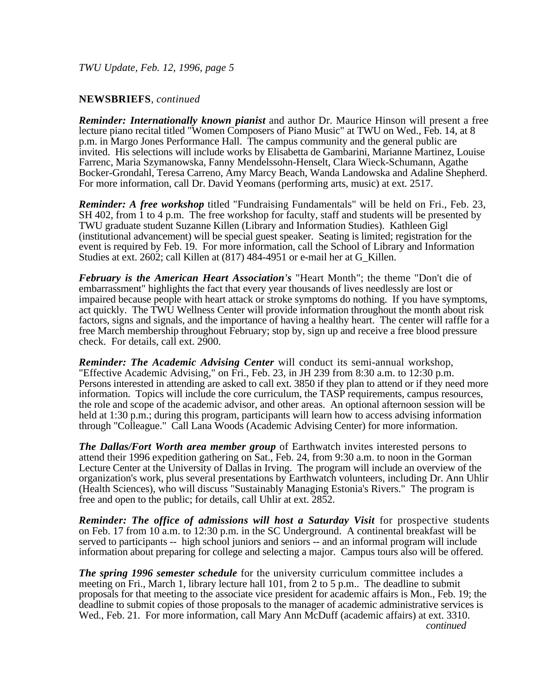## **NEWSBRIEFS**, *continued*

*Reminder: Internationally known pianist* and author Dr. Maurice Hinson will present a free lecture piano recital titled "Women Composers of Piano Music" at TWU on Wed., Feb. 14, at 8 p.m. in Margo Jones Performance Hall. The campus community and the general public are invited. His selections will include works by Elisabetta de Gambarini, Marianne Martinez, Louise Farrenc, Maria Szymanowska, Fanny Mendelssohn-Henselt, Clara Wieck-Schumann, Agathe Bocker-Grondahl, Teresa Carreno, Amy Marcy Beach, Wanda Landowska and Adaline Shepherd. For more information, call Dr. David Yeomans (performing arts, music) at ext. 2517.

*Reminder: A free workshop* titled "Fundraising Fundamentals" will be held on Fri., Feb. 23, SH 402, from 1 to 4 p.m. The free workshop for faculty, staff and students will be presented by TWU graduate student Suzanne Killen (Library and Information Studies). Kathleen Gigl (institutional advancement) will be special guest speaker. Seating is limited; registration for the event is required by Feb. 19. For more information, call the School of Library and Information Studies at ext. 2602; call Killen at (817) 484-4951 or e-mail her at G\_Killen.

*February is the American Heart Association's* "Heart Month"; the theme "Don't die of embarrassment" highlights the fact that every year thousands of lives needlessly are lost or impaired because people with heart attack or stroke symptoms do nothing. If you have symptoms, act quickly. The TWU Wellness Center will provide information throughout the month about risk factors, signs and signals, and the importance of having a healthy heart. The center will raffle for a free March membership throughout February; stop by, sign up and receive a free blood pressure check. For details, call ext. 2900.

*Reminder: The Academic Advising Center* will conduct its semi-annual workshop, "Effective Academic Advising," on Fri., Feb. 23, in JH 239 from 8:30 a.m. to 12:30 p.m. Persons interested in attending are asked to call ext. 3850 if they plan to attend or if they need more information. Topics will include the core curriculum, the TASP requirements, campus resources, the role and scope of the academic advisor, and other areas. An optional afternoon session will be held at 1:30 p.m.; during this program, participants will learn how to access advising information through "Colleague." Call Lana Woods (Academic Advising Center) for more information.

*The Dallas/Fort Worth area member group* of Earthwatch invites interested persons to attend their 1996 expedition gathering on Sat., Feb. 24, from 9:30 a.m. to noon in the Gorman Lecture Center at the University of Dallas in Irving. The program will include an overview of the organization's work, plus several presentations by Earthwatch volunteers, including Dr. Ann Uhlir (Health Sciences), who will discuss "Sustainably Managing Estonia's Rivers." The program is free and open to the public; for details, call Uhlir at ext. 2852.

*Reminder: The office of admissions will host a Saturday Visit* for prospective students on Feb. 17 from 10 a.m. to 12:30 p.m. in the SC Underground. A continental breakfast will be served to participants -- high school juniors and seniors -- and an informal program will include information about preparing for college and selecting a major. Campus tours also will be offered.

*The spring 1996 semester schedule* for the university curriculum committee includes a meeting on Fri., March 1, library lecture hall 101, from 2 to 5 p.m.. The deadline to submit proposals for that meeting to the associate vice president for academic affairs is Mon., Feb. 19; the deadline to submit copies of those proposals to the manager of academic administrative services is Wed., Feb. 21. For more information, call Mary Ann McDuff (academic affairs) at ext. 3310. *continued*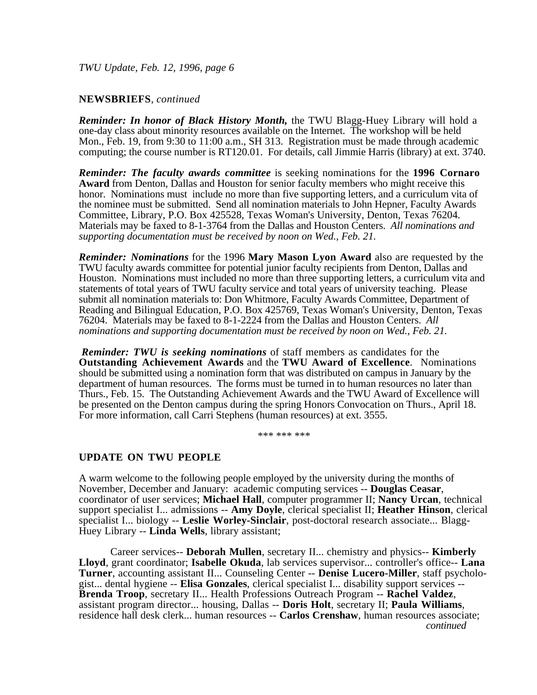## **NEWSBRIEFS**, *continued*

*Reminder: In honor of Black History Month,* the TWU Blagg-Huey Library will hold a one-day class about minority resources available on the Internet. The workshop will be held Mon., Feb. 19, from 9:30 to 11:00 a.m., SH 313. Registration must be made through academic computing; the course number is RT120.01. For details, call Jimmie Harris (library) at ext. 3740.

*Reminder: The faculty awards committee* is seeking nominations for the **1996 Cornaro Award** from Denton, Dallas and Houston for senior faculty members who might receive this honor. Nominations must include no more than five supporting letters, and a curriculum vita of the nominee must be submitted. Send all nomination materials to John Hepner, Faculty Awards Committee, Library, P.O. Box 425528, Texas Woman's University, Denton, Texas 76204. Materials may be faxed to 8-1-3764 from the Dallas and Houston Centers. *All nominations and supporting documentation must be received by noon on Wed., Feb. 21.*

*Reminder: Nominations* for the 1996 **Mary Mason Lyon Award** also are requested by the TWU faculty awards committee for potential junior faculty recipients from Denton, Dallas and Houston. Nominations must included no more than three supporting letters, a curriculum vita and statements of total years of TWU faculty service and total years of university teaching. Please submit all nomination materials to: Don Whitmore, Faculty Awards Committee, Department of Reading and Bilingual Education, P.O. Box 425769, Texas Woman's University, Denton, Texas 76204. Materials may be faxed to 8-1-2224 from the Dallas and Houston Centers. *All nominations and supporting documentation must be received by noon on Wed., Feb. 21.*

*Reminder: TWU is seeking nominations* of staff members as candidates for the **Outstanding Achievement Awards** and the **TWU Award of Excellence**. Nominations should be submitted using a nomination form that was distributed on campus in January by the department of human resources. The forms must be turned in to human resources no later than Thurs., Feb. 15. The Outstanding Achievement Awards and the TWU Award of Excellence will be presented on the Denton campus during the spring Honors Convocation on Thurs., April 18. For more information, call Carri Stephens (human resources) at ext. 3555.

\*\*\* \*\*\* \*\*\*

#### **UPDATE ON TWU PEOPLE**

A warm welcome to the following people employed by the university during the months of November, December and January: academic computing services -- **Douglas Ceasar**, coordinator of user services; **Michael Hall**, computer programmer II; **Nancy Urcan**, technical support specialist I... admissions -- **Amy Doyle**, clerical specialist II; **Heather Hinson**, clerical specialist I... biology -- **Leslie Worley-Sinclair**, post-doctoral research associate... Blagg-Huey Library -- **Linda Wells**, library assistant;

Career services-- **Deborah Mullen**, secretary II... chemistry and physics-- **Kimberly Lloyd**, grant coordinator; **Isabelle Okuda**, lab services supervisor... controller's office-- **Lana Turner**, accounting assistant II... Counseling Center -- **Denise Lucero-Miller**, staff psychologist... dental hygiene -- **Elisa Gonzales**, clerical specialist I... disability support services -- **Brenda Troop**, secretary II... Health Professions Outreach Program -- **Rachel Valdez**, assistant program director... housing, Dallas -- **Doris Holt**, secretary II; **Paula Williams**, residence hall desk clerk... human resources -- **Carlos Crenshaw**, human resources associate; *continued*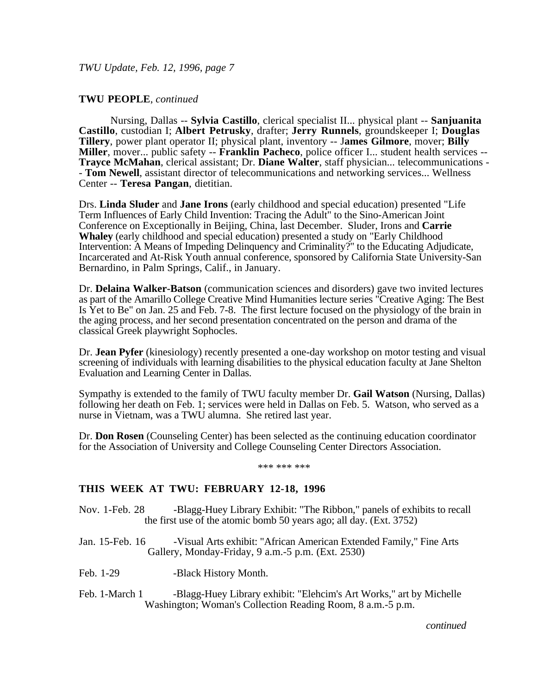## **TWU PEOPLE**, *continued*

Nursing, Dallas -- **Sylvia Castillo**, clerical specialist II... physical plant -- **Sanjuanita Castillo**, custodian I; **Albert Petrusky**, drafter; **Jerry Runnels**, groundskeeper I; **Douglas Tillery**, power plant operator II; physical plant, inventory -- J**ames Gilmore**, mover; **Billy Miller**, mover... public safety -- **Franklin Pacheco**, police officer I... student health services -- **Trayce McMahan**, clerical assistant; Dr. **Diane Walter**, staff physician... telecommunications - - **Tom Newell**, assistant director of telecommunications and networking services... Wellness Center -- **Teresa Pangan**, dietitian.

Drs. **Linda Sluder** and **Jane Irons** (early childhood and special education) presented "Life Term Influences of Early Child Invention: Tracing the Adult" to the Sino-American Joint Conference on Exceptionally in Beijing, China, last December. Sluder, Irons and **Carrie Whaley** (early childhood and special education) presented a study on "Early Childhood Intervention: A Means of Impeding Delinquency and Criminality?" to the Educating Adjudicate, Incarcerated and At-Risk Youth annual conference, sponsored by California State University-San Bernardino, in Palm Springs, Calif., in January.

Dr. **Delaina Walker-Batson** (communication sciences and disorders) gave two invited lectures as part of the Amarillo College Creative Mind Humanities lecture series "Creative Aging: The Best Is Yet to Be" on Jan. 25 and Feb. 7-8. The first lecture focused on the physiology of the brain in the aging process, and her second presentation concentrated on the person and drama of the classical Greek playwright Sophocles.

Dr. **Jean Pyfer** (kinesiology) recently presented a one-day workshop on motor testing and visual screening of individuals with learning disabilities to the physical education faculty at Jane Shelton Evaluation and Learning Center in Dallas.

Sympathy is extended to the family of TWU faculty member Dr. **Gail Watson** (Nursing, Dallas) following her death on Feb. 1; services were held in Dallas on Feb. 5. Watson, who served as a nurse in Vietnam, was a TWU alumna. She retired last year.

Dr. **Don Rosen** (Counseling Center) has been selected as the continuing education coordinator for the Association of University and College Counseling Center Directors Association.

\*\*\* \*\*\* \*\*\*

#### **THIS WEEK AT TWU: FEBRUARY 12-18, 1996**

- Nov. 1-Feb. 28 -Blagg-Huey Library Exhibit: "The Ribbon," panels of exhibits to recall the first use of the atomic bomb 50 years ago; all day. (Ext. 3752)
- Jan. 15-Feb. 16 -Visual Arts exhibit: "African American Extended Family," Fine Arts Gallery, Monday-Friday, 9 a.m.-5 p.m. (Ext. 2530)
- Feb. 1-29 -Black History Month.
- Feb. 1-March 1 -Blagg-Huey Library exhibit: "Elehcim's Art Works," art by Michelle Washington; Woman's Collection Reading Room, 8 a.m.-5 p.m.

*continued*